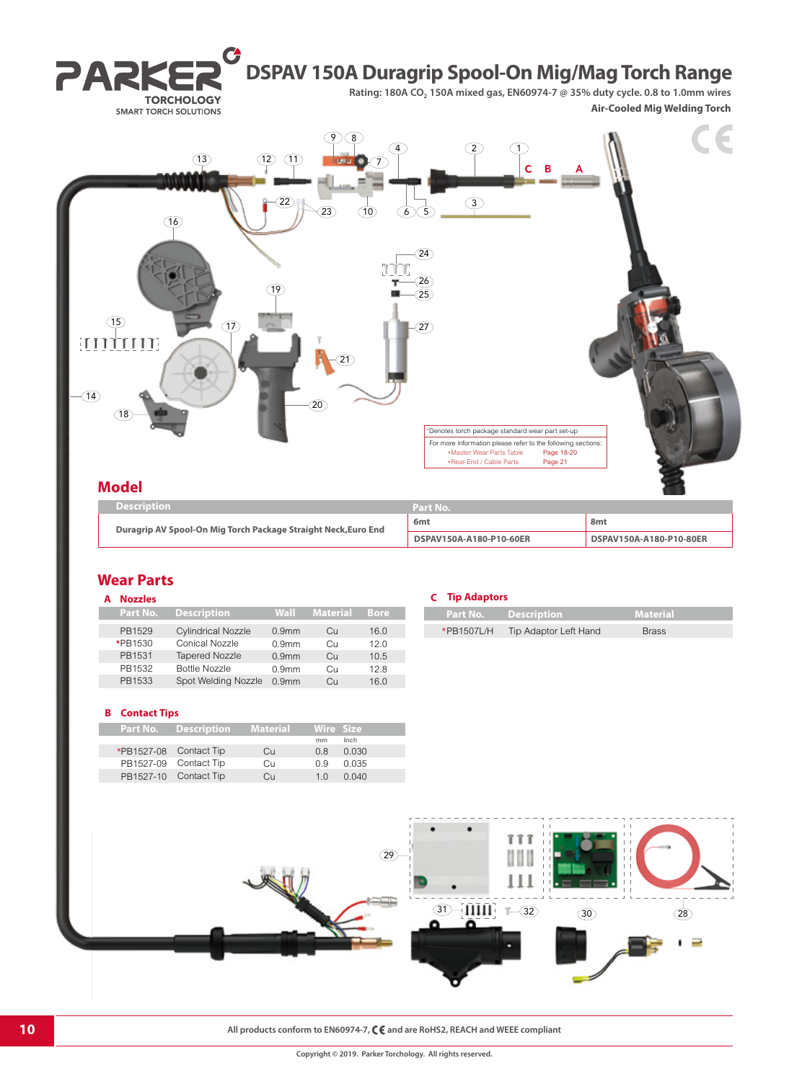

## **Wear Parts**

| Part No. | <b>Description</b>        | Wall              | <b>Material</b> | <b>Bore</b> | Part No.   |
|----------|---------------------------|-------------------|-----------------|-------------|------------|
| PB1529   | <b>Cylindrical Nozzle</b> | 0.9 <sub>mm</sub> | Cн              | 16.0        | *PB1507L/H |
| *PB1530  | Conical Nozzle            | 0.9 <sub>mm</sub> | Cн              | 12.0        |            |
| PB1531   | <b>Tapered Nozzle</b>     | 0.9 <sub>mm</sub> | Cц              | 10.5        |            |
| PB1532   | Bottle Nozzle             | 0.9 <sub>mm</sub> | Cн              | 12.8        |            |
| PB1533   | Spot Welding Nozzle       | 0.9 <sub>mm</sub> | Cц              | 16.0        |            |

#### **B Contact Tips**

| <b>Part No. Description Material</b> |    |                | Wire Size |  |
|--------------------------------------|----|----------------|-----------|--|
|                                      |    | mm             | Inch      |  |
| *PB1527-08 Contact Tip               | Cu | 0.8            | 0.030     |  |
| PB1527-09 Contact Tip                | Cн | 0 9            | 0.035     |  |
| PB1527-10 Contact Tip                | Cп | 1 <sub>0</sub> | 0.040     |  |

### **A Nozzles C Tip Adaptors**

|  | Part No. Description             | Material     |  |
|--|----------------------------------|--------------|--|
|  | *PB1507L/H Tip Adaptor Left Hand | <b>Brass</b> |  |
|  |                                  |              |  |



**10 All products conform to EN60974-7, C C** and are RoHS2, REACH and WEEE compliant